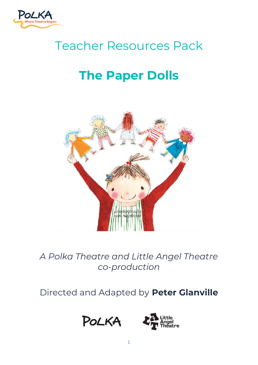

# Teacher Resources Pack

# **The Paper Dolls**



*A Polka Theatre and Little Angel Theatre co-production*

Directed and Adapted by **Peter Glanville**



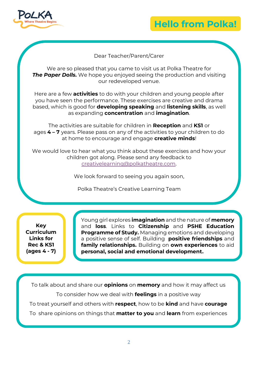

# **Hello from Polka!**

### Dear Teacher/Parent/Carer

We are so pleased that you came to visit us at Polka Theatre for **The Paper Dolls.** We hope you enjoyed seeing the production and visiting our redeveloped venue.

Here are a few **activities** to do with your children and young people after you have seen the performance. These exercises are creative and drama based, which is good for **developing speaking** and **listening skills**, as well as expanding **concentration** and **imagination**.

The activities are suitable for children in **Reception** and **KS1** or ages **4 – 7** years. Please pass on any of the activities to your children to do at home to encourage and engage **creative minds**!

We would love to hear what you think about these exercises and how your children got along. Please send any feedback to [creativelearning@polkatheatre.com.](mailto:creativelearning@polkatheatre.com)

We look forward to seeing you again soon,

Polka Theatre's Creative Learning Team

**Key Curriculum Links for Rec & KS1 (ages 4 - 7)**

Young girl explores **imagination** and the nature of **memory** and **loss**. Links to **Citizenship** and **PSHE Education Programme of Study.** Managing emotions and developing a positive sense of self. Building **positive friendships** and **family relationships.** Building on **own experiences** to aid **personal, social and emotional development.**

To talk about and share our **opinions** on **memory** and how it may affect us To consider how we deal with **feelings** in a positive way To treat yourself and others with **respect**, how to be **kind** and have **courage** To share opinions on things that **matter to you** and **learn** from experiences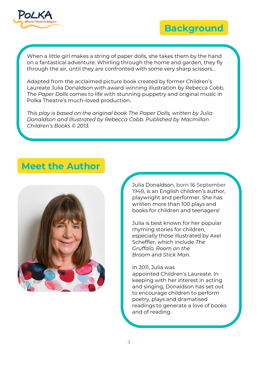



When a little girl makes a string of paper dolls, she takes them by the hand on a fantastical adventure. Whirling through the home and garden, they fly through the air, until they are confronted with some very sharp scissors...

Adapted from the acclaimed picture book created by former Children's Laureate Julia Donaldson with award-winning illustration by Rebecca Cobb, *The Paper Dolls* comes to life with stunning puppetry and original music in Polka Theatre's much-loved production.

*This play is based on the original book The Paper Dolls, written by Julia Donaldson and illustrated by Rebecca Cobb. Published by Macmillan Children's Books © 2013.*

# **Meet the Author**



Julia Donaldson, born 16 September 1948, is an English children's author, playwright and performer. She has written more than 100 plays and books for children and teenagers!

Julia is best known for her popular rhyming stories for children, especially those illustrated by Axel Scheffler, which include *[The](https://kids.kiddle.co/The_Gruffalo) [Gruffalo,](https://kids.kiddle.co/The_Gruffalo) [Room](https://kids.kiddle.co/Room_on_the_Broom) on the [Broom](https://kids.kiddle.co/Room_on_the_Broom)* and *Stick [Man.](https://kids.kiddle.co/Stick_Man)*

#### In 2011, Julia was

appointed [Children's](https://kids.kiddle.co/Children%27s_Laureate) Laureate. In keeping with her interest in acting and singing, Donaldson has set out to encourage children to perform poetry, plays and dramatised readings to generate a love of books and of reading.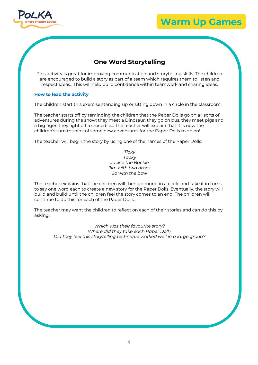

### **Warm Up Games**

# **One Word Storytelling**

This activity is great for improving communication and storytelling skills. The children are encouraged to build a story as part of a team which requires them to listen and respect ideas. This will help build confidence within teamwork and sharing ideas.

#### **How to lead the activity**

The children start this exercise standing up or sitting down in a circle in the classroom.

The teacher starts off by reminding the children that the Paper Dolls go on all sorts of adventures during the show; they meet a Dinosaur, they go on bus, they meet pigs and a big tiger, they fight off a crocodile… The teacher will explain that it is now the children's turn to think of some new adventures for the Paper Dolls to go on!

The teacher will begin the story by using one of the names of the Paper Dolls:

*Ticky Tacky Jackie the Backie Jim with two noses Jo with the bow*

The teacher explains that the children will then go round in a circle and take it in turns to say one word each to create a new story for the Paper Dolls. Eventually, the story will build and build until the children feel the story comes to an end. The children will continue to do this for each of the Paper Dolls.

The teacher may want the children to reflect on each of their stories and can do this by asking:

> *Which was their favourite story? Where did they take each Paper Doll? Did they feel this storytelling technique worked well in a large group?*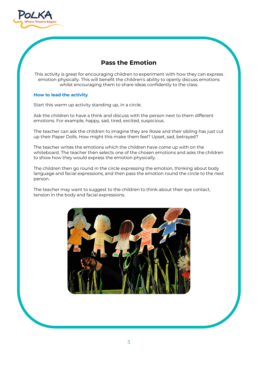

# **Pass the Emotion**

This activity is great for encouraging children to experiment with how they can express emotion physically. This will benefit the children's ability to openly discuss emotions whilst encouraging them to share ideas confidently to the class.

#### **How to lead the activity**

Start this warm up activity standing up, in a circle.

Ask the children to have a think and discuss with the person next to them different emotions. For example, happy, sad, tired, excited, suspicious.

The teacher can ask the children to imagine they are Rosie and their sibling has just cut up their Paper Dolls. How might this make them feel? Upset, sad, betrayed?

The teacher writes the emotions which the children have come up with on the whiteboard. The teacher then selects one of the chosen emotions and asks the children to show how they would express the emotion physically.

The children then go round in the circle expressing the emotion, thinking about body language and facial expressions, and then pass the emotion round the circle to the next person.

The teacher may want to suggest to the children to think about their eye contact, tension in the body and facial expressions.

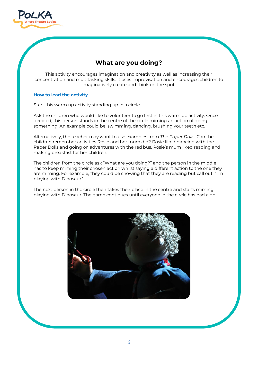

# **What are you doing?**

This activity encourages imagination and creativity as well as increasing their concentration and multitasking skills. It uses improvisation and encourages children to imaginatively create and think on the spot.

#### **How to lead the activity**

Start this warm up activity standing up in a circle.

Ask the children who would like to volunteer to go first in this warm up activity. Once decided, this person stands in the centre of the circle miming an action of doing something. An example could be, swimming, dancing, brushing your teeth etc.

Alternatively, the teacher may want to use examples from *The Paper Dolls*. Can the children remember activities Rosie and her mum did? Rosie liked dancing with the Paper Dolls and going on adventures with the red bus. Rosie's mum liked reading and making breakfast for her children.

The children from the circle ask "What are you doing?" and the person in the middle has to keep miming their chosen action whilst saying a different action to the one they are miming. For example, they could be showing that they are reading but call out, "I'm playing with Dinosaur".

The next person in the circle then takes their place in the centre and starts miming playing with Dinosaur. The game continues until everyone in the circle has had a go.

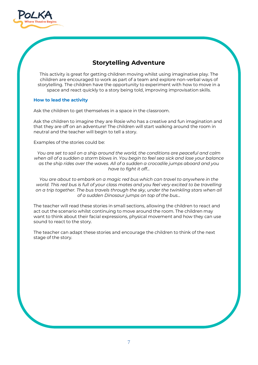

# **Storytelling Adventure**

This activity is great for getting children moving whilst using imaginative play. The children are encouraged to work as part of a team and explore non-verbal ways of storytelling. The children have the opportunity to experiment with how to move in a space and react quickly to a story being told, improving improvisation skills.

#### **How to lead the activity**

Ask the children to get themselves in a space in the classroom.

Ask the children to imagine they are Rosie who has a creative and fun imagination and that they are off on an adventure! The children will start walking around the room in neutral and the teacher will begin to tell a story.

Examples of the stories could be:

*You are set to sail on a ship around the world, the conditions are peaceful and calm when all of a sudden a storm blows in. You begin to feel sea sick and lose your balance as the ship rides over the waves. All of a sudden a crocodile jumps aboard and you have to fight it off…*

*You are about to embark on a magic red bus which can travel to anywhere in the world. This red bus is full of your class mates and you feel very excited to be travelling on a trip together. The bus travels through the sky, under the twinkling stars when all of a sudden Dinosaur jumps on top of the bus…*

The teacher will read these stories in small sections, allowing the children to react and act out the scenario whilst continuing to move around the room. The children may want to think about their facial expressions, physical movement and how they can use sound to react to the story.

The teacher can adapt these stories and encourage the children to think of the next stage of the story.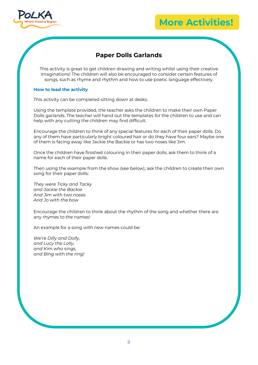

## **More Activities!**

## **Paper Dolls Garlands**

This activity is great to get children drawing and writing whilst using their creative imaginations! The children will also be encouraged to consider certain features of songs, such as rhyme and rhythm and how to use poetic language effectively.

#### **How to lead the activity**

This activity can be completed sitting down at desks.

Using the template provided, the teacher asks the children to make their own Paper Dolls garlands. The teacher will hand out the templates for the children to use and can help with any cutting the children may find difficult.

Encourage the children to think of any special features for each of their paper dolls. Do any of them have particularly bright coloured hair or do they have four ears? Maybe one of them is facing away like Jackie the Backie or has two noses like Jim.

Once the children have finished colouring in their paper dolls, ask them to think of a name for each of their paper dolls.

Then using the example from the show (see below), ask the children to create their own song for their paper dolls:

*They were Ticky and Tacky and Jackie the Backie And Jim with two noses And Jo with the bow*

Encourage the children to think about the rhythm of the song and whether there are any rhymes to the names!

An example for a song with new names could be:

*We're Dilly and Dolly, and Lucy the Lolly, and Kim who sings, and Bing with the ring!*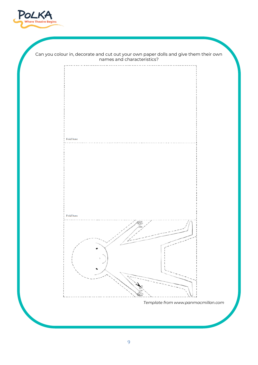

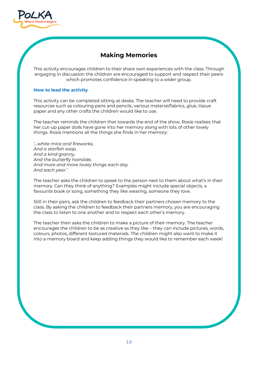

# **Making Memories**

This activity encourages children to their share own experiences with the class. Through engaging in discussion the children are encouraged to support and respect their peers which promotes confidence in speaking to a wider group.

#### **How to lead the activity**

This activity can be completed sitting at desks. The teacher will need to provide craft resources such as colouring pens and pencils, various material/fabrics, glue, tissue paper and any other crafts the children would like to use.

The teacher reminds the children that towards the end of the show, Rosie realises that her cut-up paper dolls have gone into her memory along with lots of other lovely things. Rosie mentions all the things she finds in her memory:

*'…white mice and fireworks, And a starfish soap, And a kind granny, And the butterfly hairslide, And more and more lovely things each day And each year.'* 

The teacher asks the children to speak to the person next to them about what's in their memory. Can they think of anything? Examples might include special objects, a favourite book or song, something they like wearing, someone they love.

Still in their pairs, ask the children to feedback their partners chosen memory to the class. By asking the children to feedback their partners memory, you are encouraging the class to listen to one another and to respect each other's memory.

The teacher then asks the children to make a picture of their memory. The teacher encourages the children to be as creative as they like – they can include pictures, words, colours, photos, different textured materials. The children might also want to make it into a memory board and keep adding things they would like to remember each week!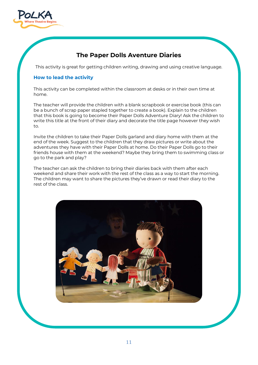

# **The Paper Dolls Aventure Diaries**

This activity is great for getting children writing, drawing and using creative language.

#### **How to lead the activity**

This activity can be completed within the classroom at desks or in their own time at home.

The teacher will provide the children with a blank scrapbook or exercise book (this can be a bunch of scrap paper stapled together to create a book). Explain to the children that this book is going to become their Paper Dolls Adventure Diary! Ask the children to write this title at the front of their diary and decorate the title page however they wish to.

Invite the children to take their Paper Dolls garland and diary home with them at the end of the week. Suggest to the children that they draw pictures or write about the adventures they have with their Paper Dolls at home. Do their Paper Dolls go to their friends house with them at the weekend? Maybe they bring them to swimming class or go to the park and play?

The teacher can ask the children to bring their diaries back with them after each weekend and share their work with the rest of the class as a way to start the morning. The children may want to share the pictures they've drawn or read their diary to the rest of the class.

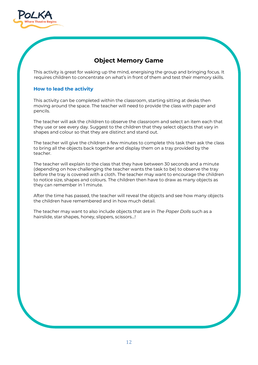

# **Object Memory Game**

This activity is great for waking up the mind, energising the group and bringing focus. It requires children to concentrate on what's in front of them and test their memory skills.

#### **How to lead the activity**

This activity can be completed within the classroom, starting sitting at desks then moving around the space. The teacher will need to provide the class with paper and pencils.

The teacher will ask the children to observe the classroom and select an item each that they use or see every day. Suggest to the children that they select objects that vary in shapes and colour so that they are distinct and stand out.

The teacher will give the children a few minutes to complete this task then ask the class to bring all the objects back together and display them on a tray provided by the teacher.

The teacher will explain to the class that they have between 30 seconds and a minute (depending on how challenging the teacher wants the task to be) to observe the tray before the tray is covered with a cloth. The teacher may want to encourage the children to notice size, shapes and colours. The children then have to draw as many objects as they can remember in 1 minute.

After the time has passed, the teacher will reveal the objects and see how many objects the children have remembered and in how much detail.

The teacher may want to also include objects that are in *The Paper Dolls* such as a hairslide, star shapes, honey, slippers, scissors…!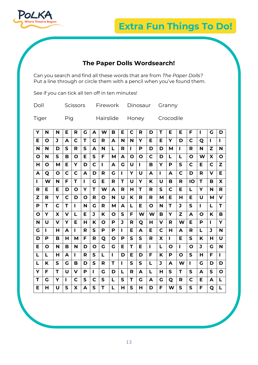

# **Extra Fun Things To Do!**

# **The Paper Dolls Wordsearch!**

Can you search and find all these words that are from *The Paper Dolls?*  Put a line through or circle them with a pencil when you've found them.

| Doll  |     | Scissors Firework Dinosaur Granny |                           |  |
|-------|-----|-----------------------------------|---------------------------|--|
| Tiger | Pig |                                   | Hairslide Honey Crocodile |  |

See if you can tick all ten off in ten minutes!

| Y            | N | N           | Е | R | G | A | W            | в            | Е            | C            | R            | D | т | Е              | Е | F            | L  | G  | D            |
|--------------|---|-------------|---|---|---|---|--------------|--------------|--------------|--------------|--------------|---|---|----------------|---|--------------|----|----|--------------|
| Е            | O | J           | A | C | T | G | R            | A            | N            | N            | Υ            | Е | Е | Υ              | D | C            | Q  | I. | п            |
| N            | N | D           | S | R | S | A | N            | L            | R            | $\mathbf{I}$ | P            | D | D | М              | L | R            | N  | Z  | N            |
| O            | N | S           | в | Ο | Е | S | F            | м            | A            | O            | O            | C | D | L              | L | O            | W  | X  | O            |
| Н            | Ο | М           | Е | Υ | D | C | L            | A            | G            | U            | $\mathbf{I}$ | В | Υ | P              | S | $\mathbf C$  | Е  | C  | Z            |
| A            | Q | O           | C | C | A | D | R            | G            | $\mathbf{I}$ | Y            | U            | A | L | A              | C | D            | R  | v  | Е            |
| L            | W | N           | F | T | L | G | Е            | R            | T            | U            | Y            | K | U | в              | R | IO           | т  | в  | X            |
| R            | Е | Е           | D | O | Υ | т | W            | A            | R            | н            | т            | R | S | C              | Е | L            | Y  | N  | R            |
| $\mathbf{z}$ | R | Y           | C | D | O | R | O            | N            | U            | K            | R            | R | М | Е              | н | Е            | U  | М  | $\mathbf v$  |
| P            | т | $\mathbf C$ | т | п | N | G | R            | M            | A            | L            | Е            | O | N | T              | J | $\mathsf{s}$ | L  | L  | T            |
| O            | Y | X           | v | L | Е | J | K            | O            | $\mathsf{s}$ | F            | W            | W | в | Y              | Z | A            | O  | K  | B            |
| N            | U | $\mathbf v$ | Υ | Е | Н | Κ | O            | P            | J            | R            | Q            | н | v | R              | W | Е            | P  | L  | Y            |
| G            | L | Н           | A | L | R | S | P            | P            | п            | Е            | A            | Е | C | н              | A | R            | L  | J  | N            |
| D            | P | в           | н | M | F | R | Q            | O            | P            | $\mathsf{S}$ | S            | R | X | $\blacksquare$ | Е | $\mathbf S$  | K  | н  | U            |
| Е            | O | N           | в | N | D | O | G            | G            | Е            | T            | Е            | п | L | O              | L | $\mathbf O$  | J  | G  | N            |
| L            | L | н           | A | п | R | S | L            | $\mathbf{I}$ | D            | Е            | D            | F | Κ | P              | O | $\mathsf{s}$ | н  | F  | П            |
| L            | K | S           | G | в | D | S | R            | т            | L            | S            | S            | L | J | A              | W | п            | G  | D  | D            |
| Y            | F | т           | U | v | P | L | G            | D            | L            | R            | A            | L | н | $\mathsf{s}$   | т | S            | A  | S  | $\mathbf{o}$ |
| Т            | G | Y           | L | C | S | C | $\mathsf{S}$ | L            | $\mathbf S$  | T.           | G            | A | G | Q              | R | C            | E. | A  | L            |
| Е            | н | U           | S | X | A | S | т            | L            | н            | $\mathsf{s}$ | н            | D | F | W              | S | $\mathsf{s}$ | F  | Q  | L            |